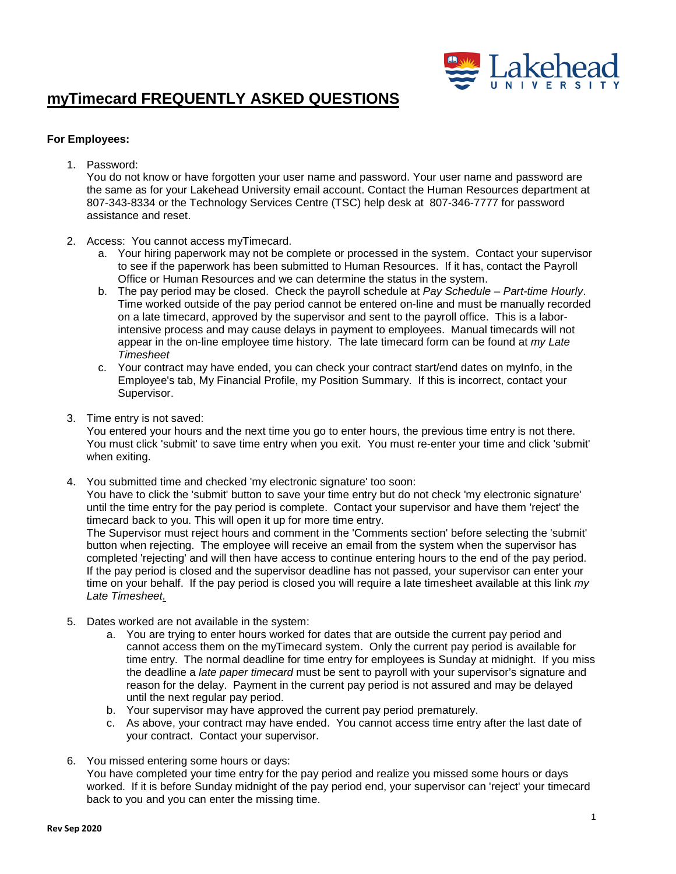

#### **For Employees:**

1. Password:

You do not know or have forgotten your user name and password. Your user name and password are the same as for your Lakehead University email account. Contact the Human Resources department at [807-343-8](tel:807-346-7777)334 or the Technology Services Centre (TSC) help desk at [807-346-7777](tel:807-346-7777) for password assistance and reset.

- 2. Access: You cannot access myTimecard.
	- a. Your hiring paperwork may not be complete or processed in the system. Contact your supervisor to see if the paperwork has been submitted to Human Resources. If it has, contact the Payroll Office or Human Resources and we can determine the status in the system.
	- b. The pay period may be closed. Check the payroll schedule at *[Pay Schedule Part-time Hourly](https://www.lakeheadu.ca/sites/default/files/forms/Part-Time%20Hourly%202015%20Payroll%20Schedule.pdf)*. Time worked outside of the pay period cannot be entered on-line and must be manually recorded on a late timecard, approved by the supervisor and sent to the payroll office. This is a laborintensive process and may cause delays in payment to employees. Manual timecards will not appear in the on-line employee time history. The late timecard form can be found at *[my Late](https://www.lakeheadu.ca/sites/default/files/forms/MyTimecard%20Late%20Timesheet%20Form.pdf) [Timesheet](https://www.lakeheadu.ca/sites/default/files/forms/MyTimecard%20Late%20Timesheet%20Form.pdf)*
	- c. Your contract may have ended, you can check your contract start/end dates on myInfo, in the Employee's tab, My Financial Profile, my Position Summary. If this is incorrect, contact your Supervisor.
- 3. Time entry is not saved:

You entered your hours and the next time you go to enter hours, the previous time entry is not there. You must click 'submit' to save time entry when you exit. You must re-enter your time and click 'submit' when exiting.

4. You submitted time and checked 'my electronic signature' too soon:

You have to click the 'submit' button to save your time entry but do not check 'my electronic signature' until the time entry for the pay period is complete. Contact your supervisor and have them 'reject' the timecard back to you. This will open it up for more time entry.

The Supervisor must reject hours and comment in the 'Comments section' before selecting the 'submit' button when rejecting. The employee will receive an email from the system when the supervisor has completed 'rejecting' and will then have access to continue entering hours to the end of the pay period. If the pay period is closed and the supervisor deadline has not passed, your supervisor can enter your time on your behalf. If the pay period is closed you will require a late timesheet available at this link *[my](https://www.lakeheadu.ca/sites/default/files/forms/MyTimecard%20Late%20Timesheet%20Form.pdf) [Late Timesheet.](https://www.lakeheadu.ca/sites/default/files/forms/MyTimecard%20Late%20Timesheet%20Form.pdf)*

- 5. Dates worked are not available in the system:
	- a. You are trying to enter hours worked for dates that are outside the current pay period and cannot access them on the myTimecard system. Only the current pay period is available for time entry. The normal deadline for time entry for employees is Sunday at midnight. If you miss the deadline a *[late paper timecard](https://www.lakeheadu.ca/sites/default/files/forms/my_Late_timesheet.pdf)* must be sent to payroll with your supervisor's signature and reason for the delay. Payment in the current pay period is not assured and may be delayed until the next regular pay period.
	- b. Your supervisor may have approved the current pay period prematurely.
	- c. As above, your contract may have ended. You cannot access time entry after the last date of your contract. Contact your supervisor.
- 6. You missed entering some hours or days: You have completed your time entry for the pay period and realize you missed some hours or days worked. If it is before Sunday midnight of the pay period end, your supervisor can 'reject' your timecard back to you and you can enter the missing time.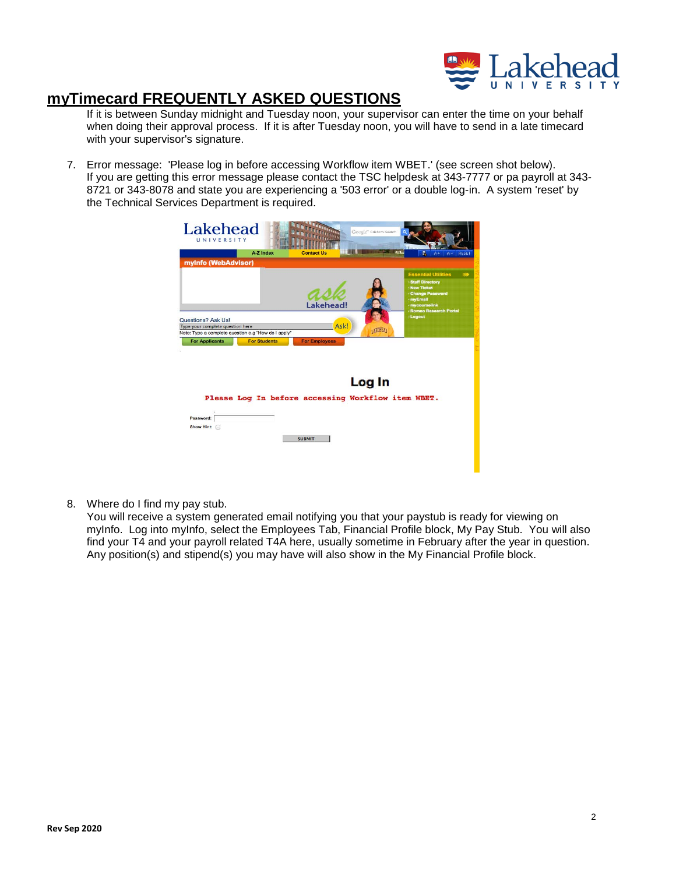

If it is between Sunday midnight and Tuesday noon, your supervisor can enter the time on your behalf when doing their approval process. If it is after Tuesday noon, you will have to send in a late timecard with your supervisor's signature.

7. Error message: 'Please log in before accessing Workflow item WBET.' (see screen shot below). If you are getting this error message please contact the TSC helpdesk at 343-7777 or pa payroll at 343- 8721 or 343-8078 and state you are experiencing a '503 error' or a double log-in. A system 'reset' by the Technical Services Department is required.



8. Where do I find my pay stub.

You will receive a system generated email notifying you that your paystub is ready for viewing on myInfo. Log into myInfo, select the Employees Tab, Financial Profile block, My Pay Stub. You will also find your T4 and your payroll related T4A here, usually sometime in February after the year in question. Any position(s) and stipend(s) you may have will also show in the My Financial Profile block.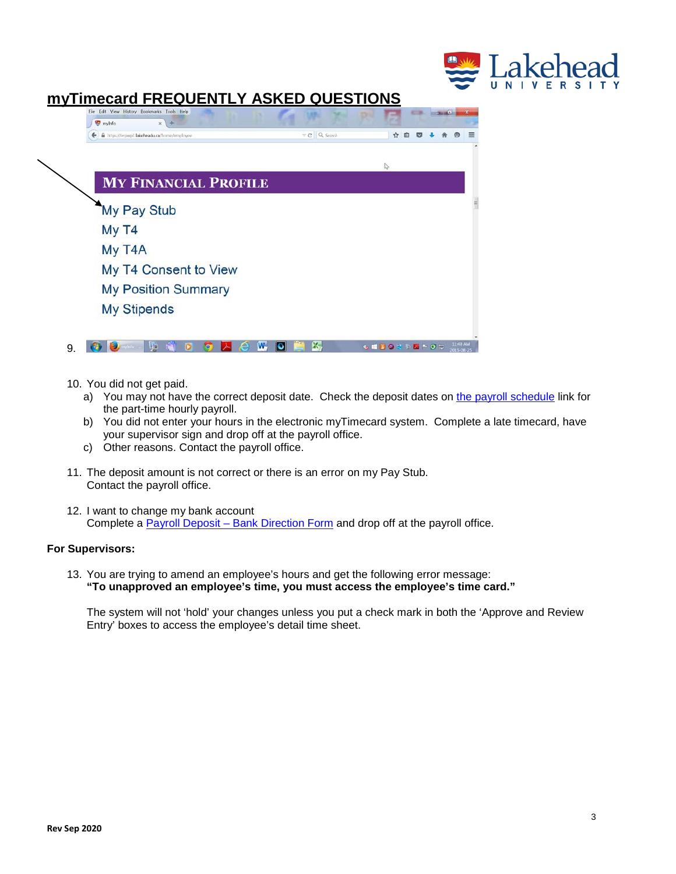

| @ https://erpwp3.lakeheadu.ca/home/employee | $\tau$ C Q Search | 17 |  |
|---------------------------------------------|-------------------|----|--|
|                                             |                   |    |  |
|                                             |                   |    |  |
| <b>MY FINANCIAL PROFILE</b>                 |                   |    |  |
| My Pay Stub                                 |                   |    |  |
| My T4                                       |                   |    |  |
| My T4A                                      |                   |    |  |
| My T4 Consent to View                       |                   |    |  |
|                                             |                   |    |  |
| <b>My Position Summary</b>                  |                   |    |  |

- 10. You did not get paid.
	- a) You may not have the correct deposit date. Check the deposit dates on [the payroll schedule](https://www.lakeheadu.ca/sites/default/files/forms/Part-Time%20Hourly%202015%20Payroll%20Schedule.pdf) link for the part-time hourly payroll.
	- b) You did not enter your hours in the electronic myTimecard system. Complete a late timecard, have your supervisor sign and drop off at the payroll office.
	- c) Other reasons. Contact the payroll office.
- 11. The deposit amount is not correct or there is an error on my Pay Stub. Contact the payroll office.
- 12. I want to change my bank account Complete a [Payroll Deposit – Bank Direction Form](https://www.lakeheadu.ca/sites/default/files/forms/Payroll%20Electronic%20Bank%20Deposit%20Direction%20Form.pdf) and drop off at the payroll office.

#### **For Supervisors:**

13. You are trying to amend an employee's hours and get the following error message: **"To unapproved an employee's time, you must access the employee's time card."**

The system will not 'hold' your changes unless you put a check mark in both the 'Approve and Review Entry' boxes to access the employee's detail time sheet.